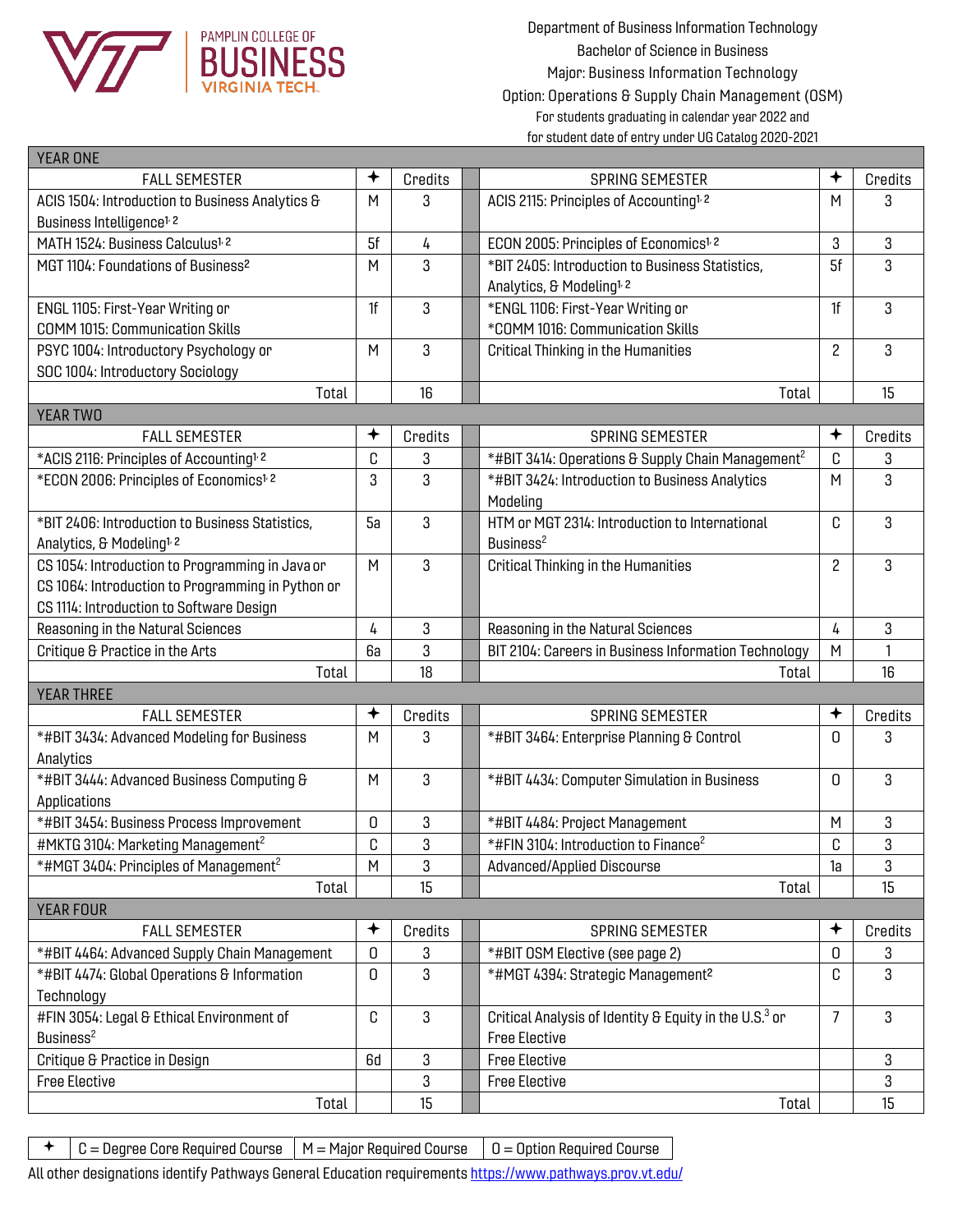

| <b>YEAR ONE</b>                                      |                |         |                                                                    |                |         |
|------------------------------------------------------|----------------|---------|--------------------------------------------------------------------|----------------|---------|
| <b>FALL SEMESTER</b>                                 | $\bigstar$     | Credits | <b>SPRING SEMESTER</b>                                             | ✦              | Credits |
| ACIS 1504: Introduction to Business Analytics &      | M              | 3       | ACIS 2115: Principles of Accounting <sup>1, 2</sup>                | M              | 3       |
| Business Intelligence <sup>1, 2</sup>                |                |         |                                                                    |                |         |
| MATH 1524: Business Calculus <sup>1, 2</sup>         | 5f             | 4       | ECON 2005: Principles of Economics <sup>1, 2</sup>                 | 3              | 3       |
| MGT 1104: Foundations of Business <sup>2</sup>       | M              | 3       | *BIT 2405: Introduction to Business Statistics,                    | 5f             | 3       |
|                                                      |                |         | Analytics, & Modeling <sup>1, 2</sup>                              |                |         |
| ENGL 1105: First-Year Writing or                     | 1 <sup>f</sup> | 3       | *ENGL 1106: First-Year Writing or                                  | 1f             | 3       |
| <b>COMM 1015: Communication Skills</b>               |                |         | *COMM 1016: Communication Skills                                   |                |         |
| PSYC 1004: Introductory Psychology or                | M              | 3       | <b>Critical Thinking in the Humanities</b>                         | $\overline{c}$ | 3       |
| SOC 1004: Introductory Sociology                     |                |         |                                                                    |                |         |
| Total                                                |                | 16      | Total                                                              |                | 15      |
| <b>YEAR TWO</b>                                      |                |         |                                                                    |                |         |
| <b>FALL SEMESTER</b>                                 | ✦              | Credits | SPRING SEMESTER                                                    | ✦              | Credits |
| *ACIS 2116: Principles of Accounting <sup>1, 2</sup> | C              | 3       | *#BIT 3414: Operations & Supply Chain Management <sup>2</sup>      | C              | 3       |
| *ECON 2006: Principles of Economics <sup>1, 2</sup>  | 3              | 3       | *#BIT 3424: Introduction to Business Analytics                     | M              | 3       |
|                                                      |                |         | Modeling                                                           |                |         |
| *BIT 2406: Introduction to Business Statistics,      | 5a             | 3       | HTM or MGT 2314: Introduction to International                     | C              | 3       |
| Analytics, & Modeling <sup>1, 2</sup>                |                |         | Business <sup>2</sup>                                              |                |         |
| CS 1054: Introduction to Programming in Java or      | M              | 3       | <b>Critical Thinking in the Humanities</b>                         | 2              | 3       |
| CS 1064: Introduction to Programming in Python or    |                |         |                                                                    |                |         |
| CS 1114: Introduction to Software Design             |                |         |                                                                    |                |         |
| Reasoning in the Natural Sciences                    | 4              | $\,3$   | Reasoning in the Natural Sciences                                  | 4              | 3       |
| Critique & Practice in the Arts                      | 6а             | 3       | BIT 2104: Careers in Business Information Technology               | M              | 1       |
| Total                                                |                | 18      | Total                                                              |                | 16      |
| YEAR THREE                                           |                |         |                                                                    |                |         |
| <b>FALL SEMESTER</b>                                 | ✦              | Credits | <b>SPRING SEMESTER</b>                                             | ✦              | Credits |
| *#BIT 3434: Advanced Modeling for Business           | M              | 3       | *#BIT 3464: Enterprise Planning & Control                          | <sup>0</sup>   | 3       |
| Analytics                                            |                |         |                                                                    |                |         |
| *#BIT 3444: Advanced Business Computing &            | M              | 3       | *#BIT 4434: Computer Simulation in Business                        | 0              | 3       |
| Applications                                         |                |         |                                                                    |                |         |
| *#BIT 3454: Business Process Improvement             | 0              | 3       | *#BIT 4484: Project Management                                     | M              | 3       |
| #MKTG 3104: Marketing Management <sup>2</sup>        | C              | 3       | *#FIN 3104: Introduction to Finance <sup>2</sup>                   | C              | 3       |
| *#MGT 3404: Principles of Management <sup>2</sup>    | M              | 3       | Advanced/Applied Discourse                                         | 1a             | 3       |
| Total                                                |                | 15      | Total                                                              |                | 15      |
| <b>YEAR FOUR</b>                                     |                |         |                                                                    |                |         |
| <b>FALL SEMESTER</b>                                 | $\,{}^+$       | Credits | <b>SPRING SEMESTER</b>                                             |                | Credits |
| *#BIT 4464: Advanced Supply Chain Management         | $\mathbf 0$    | 3       | *#BIT OSM Elective (see page 2)                                    | 0              | 3       |
| *#BIT 4474: Global Operations & Information          | 0              | 3       | *#MGT 4394: Strategic Management <sup>2</sup>                      | C              | 3       |
| Technology                                           |                |         |                                                                    |                |         |
| #FIN 3054: Legal & Ethical Environment of            | C              | 3       | Critical Analysis of Identity & Equity in the U.S. <sup>3</sup> or | $\overline{7}$ | 3       |
| Business <sup>2</sup>                                |                |         | <b>Free Elective</b>                                               |                |         |
| Critique & Practice in Design                        | 6d             | 3       | <b>Free Elective</b>                                               |                | 3       |
| <b>Free Elective</b>                                 |                | $\,3$   | <b>Free Elective</b>                                               |                | 3       |
| Total                                                |                | 15      | Total                                                              |                | 15      |
|                                                      |                |         |                                                                    |                |         |

 $\bigstar$  | C = Degree Core Required Course | M = Major Required Course | O = Option Required Course

All other designations identify Pathways General Education requirement[s https://www.pathways.prov.vt.edu/](https://www.pathways.prov.vt.edu/)